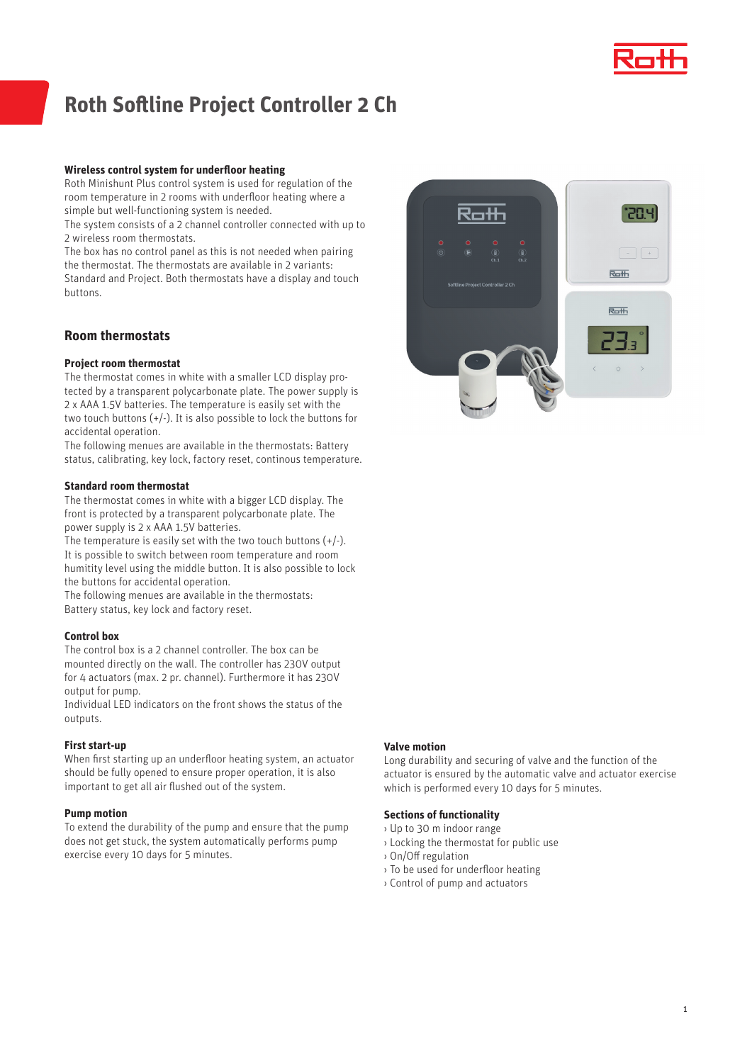

# **Roth Softline Project Controller 2 Ch**

## **Wireless control system for underfloor heating**

Roth Minishunt Plus control system is used for regulation of the room temperature in 2 rooms with underfloor heating where a simple but well-functioning system is needed.

The system consists of a 2 channel controller connected with up to 2 wireless room thermostats.

The box has no control panel as this is not needed when pairing the thermostat. The thermostats are available in 2 variants: Standard and Project. Both thermostats have a display and touch buttons.

# **Room thermostats**

## **Project room thermostat**

The thermostat comes in white with a smaller LCD display protected by a transparent polycarbonate plate. The power supply is 2 x AAA 1.5V batteries. The temperature is easily set with the two touch buttons  $(+/-)$ . It is also possible to lock the buttons for accidental operation.

The following menues are available in the thermostats: Battery status, calibrating, key lock, factory reset, continous temperature.

## **Standard room thermostat**

The thermostat comes in white with a bigger LCD display. The front is protected by a transparent polycarbonate plate. The power supply is 2 x AAA 1.5V batteries.

The temperature is easily set with the two touch buttons  $(+/-)$ . It is possible to switch between room temperature and room humitity level using the middle button. It is also possible to lock the buttons for accidental operation.

The following menues are available in the thermostats: Battery status, key lock and factory reset.

## **Control box**

The control box is a 2 channel controller. The box can be mounted directly on the wall. The controller has 230V output for 4 actuators (max. 2 pr. channel). Furthermore it has 230V output for pump.

Individual LED indicators on the front shows the status of the outputs.

## **First start-up**

When first starting up an underfloor heating system, an actuator should be fully opened to ensure proper operation, it is also important to get all air flushed out of the system.

## **Pump motion**

To extend the durability of the pump and ensure that the pump does not get stuck, the system automatically performs pump exercise every 10 days for 5 minutes.



### **Valve motion**

Long durability and securing of valve and the function of the actuator is ensured by the automatic valve and actuator exercise which is performed every 10 days for 5 minutes.

## **Sections of functionality**

- › Up to 30 m indoor range
- › Locking the thermostat for public use
- › On/Off regulation
- › To be used for underfloor heating
- › Control of pump and actuators